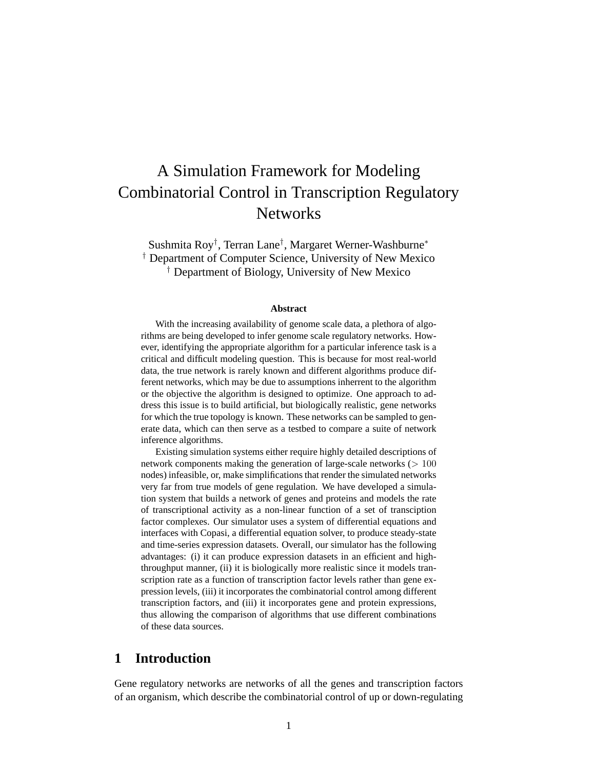# A Simulation Framework for Modeling Combinatorial Control in Transcription Regulatory **Networks**

Sushmita Roy† , Terran Lane† , Margaret Werner-Washburne<sup>∗</sup> † Department of Computer Science, University of New Mexico † Department of Biology, University of New Mexico

#### **Abstract**

With the increasing availability of genome scale data, a plethora of algorithms are being developed to infer genome scale regulatory networks. However, identifying the appropriate algorithm for a particular inference task is a critical and difficult modeling question. This is because for most real-world data, the true network is rarely known and different algorithms produce different networks, which may be due to assumptions inherrent to the algorithm or the objective the algorithm is designed to optimize. One approach to address this issue is to build artificial, but biologically realistic, gene networks for which the true topology is known. These networks can be sampled to generate data, which can then serve as a testbed to compare a suite of network inference algorithms.

Existing simulation systems either require highly detailed descriptions of network components making the generation of large-scale networks  $(>100$ nodes) infeasible, or, make simplifications that render the simulated networks very far from true models of gene regulation. We have developed a simulation system that builds a network of genes and proteins and models the rate of transcriptional activity as a non-linear function of a set of transciption factor complexes. Our simulator uses a system of differential equations and interfaces with Copasi, a differential equation solver, to produce steady-state and time-series expression datasets. Overall, our simulator has the following advantages: (i) it can produce expression datasets in an efficient and highthroughput manner, (ii) it is biologically more realistic since it models transcription rate as a function of transcription factor levels rather than gene expression levels, (iii) it incorporates the combinatorial control among different transcription factors, and (iii) it incorporates gene and protein expressions, thus allowing the comparison of algorithms that use different combinations of these data sources.

## **1 Introduction**

Gene regulatory networks are networks of all the genes and transcription factors of an organism, which describe the combinatorial control of up or down-regulating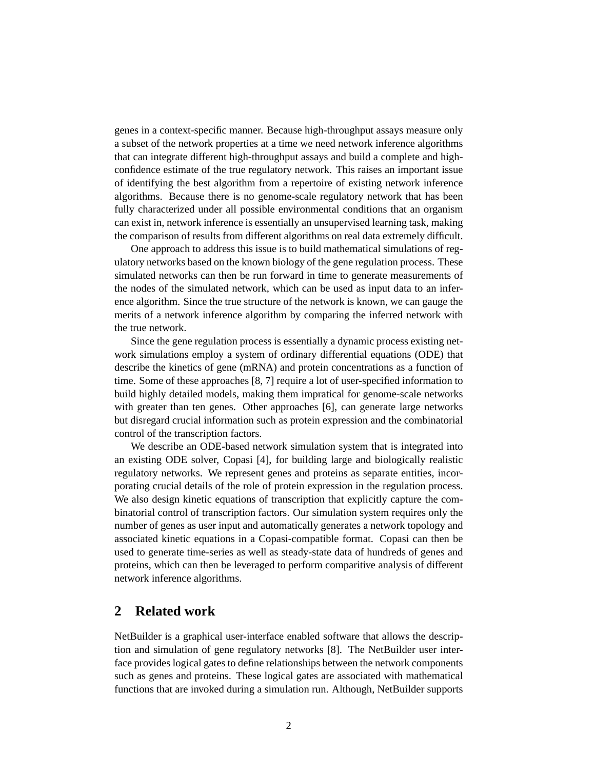genes in a context-specific manner. Because high-throughput assays measure only a subset of the network properties at a time we need network inference algorithms that can integrate different high-throughput assays and build a complete and highconfidence estimate of the true regulatory network. This raises an important issue of identifying the best algorithm from a repertoire of existing network inference algorithms. Because there is no genome-scale regulatory network that has been fully characterized under all possible environmental conditions that an organism can exist in, network inference is essentially an unsupervised learning task, making the comparison of results from different algorithms on real data extremely difficult.

One approach to address this issue is to build mathematical simulations of regulatory networks based on the known biology of the gene regulation process. These simulated networks can then be run forward in time to generate measurements of the nodes of the simulated network, which can be used as input data to an inference algorithm. Since the true structure of the network is known, we can gauge the merits of a network inference algorithm by comparing the inferred network with the true network.

Since the gene regulation process is essentially a dynamic process existing network simulations employ a system of ordinary differential equations (ODE) that describe the kinetics of gene (mRNA) and protein concentrations as a function of time. Some of these approaches [8, 7] require a lot of user-specified information to build highly detailed models, making them impratical for genome-scale networks with greater than ten genes. Other approaches [6], can generate large networks but disregard crucial information such as protein expression and the combinatorial control of the transcription factors.

We describe an ODE-based network simulation system that is integrated into an existing ODE solver, Copasi [4], for building large and biologically realistic regulatory networks. We represent genes and proteins as separate entities, incorporating crucial details of the role of protein expression in the regulation process. We also design kinetic equations of transcription that explicitly capture the combinatorial control of transcription factors. Our simulation system requires only the number of genes as user input and automatically generates a network topology and associated kinetic equations in a Copasi-compatible format. Copasi can then be used to generate time-series as well as steady-state data of hundreds of genes and proteins, which can then be leveraged to perform comparitive analysis of different network inference algorithms.

### **2 Related work**

NetBuilder is a graphical user-interface enabled software that allows the description and simulation of gene regulatory networks [8]. The NetBuilder user interface provides logical gates to define relationships between the network components such as genes and proteins. These logical gates are associated with mathematical functions that are invoked during a simulation run. Although, NetBuilder supports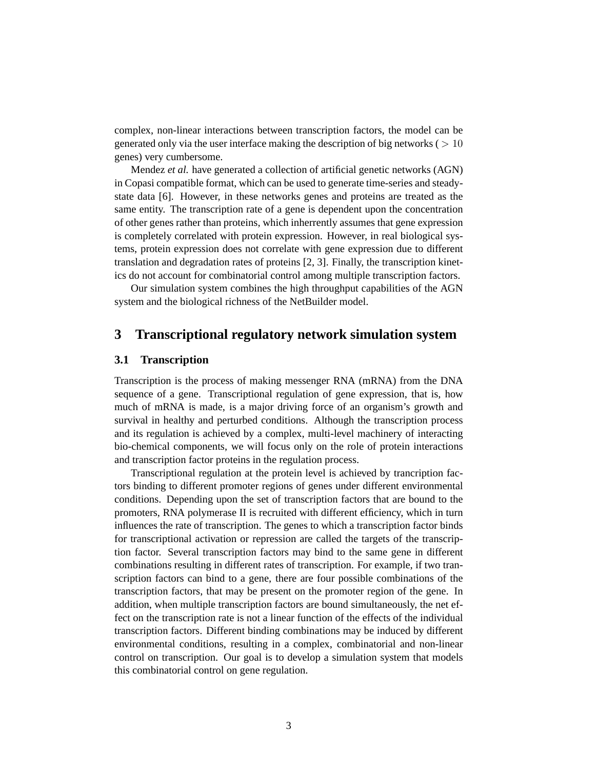complex, non-linear interactions between transcription factors, the model can be generated only via the user interface making the description of big networks ( $> 10$ ) genes) very cumbersome.

Mendez *et al.* have generated a collection of artificial genetic networks (AGN) in Copasi compatible format, which can be used to generate time-series and steadystate data [6]. However, in these networks genes and proteins are treated as the same entity. The transcription rate of a gene is dependent upon the concentration of other genes rather than proteins, which inherrently assumes that gene expression is completely correlated with protein expression. However, in real biological systems, protein expression does not correlate with gene expression due to different translation and degradation rates of proteins [2, 3]. Finally, the transcription kinetics do not account for combinatorial control among multiple transcription factors.

Our simulation system combines the high throughput capabilities of the AGN system and the biological richness of the NetBuilder model.

### **3 Transcriptional regulatory network simulation system**

### **3.1 Transcription**

Transcription is the process of making messenger RNA (mRNA) from the DNA sequence of a gene. Transcriptional regulation of gene expression, that is, how much of mRNA is made, is a major driving force of an organism's growth and survival in healthy and perturbed conditions. Although the transcription process and its regulation is achieved by a complex, multi-level machinery of interacting bio-chemical components, we will focus only on the role of protein interactions and transcription factor proteins in the regulation process.

Transcriptional regulation at the protein level is achieved by trancription factors binding to different promoter regions of genes under different environmental conditions. Depending upon the set of transcription factors that are bound to the promoters, RNA polymerase II is recruited with different efficiency, which in turn influences the rate of transcription. The genes to which a transcription factor binds for transcriptional activation or repression are called the targets of the transcription factor. Several transcription factors may bind to the same gene in different combinations resulting in different rates of transcription. For example, if two transcription factors can bind to a gene, there are four possible combinations of the transcription factors, that may be present on the promoter region of the gene. In addition, when multiple transcription factors are bound simultaneously, the net effect on the transcription rate is not a linear function of the effects of the individual transcription factors. Different binding combinations may be induced by different environmental conditions, resulting in a complex, combinatorial and non-linear control on transcription. Our goal is to develop a simulation system that models this combinatorial control on gene regulation.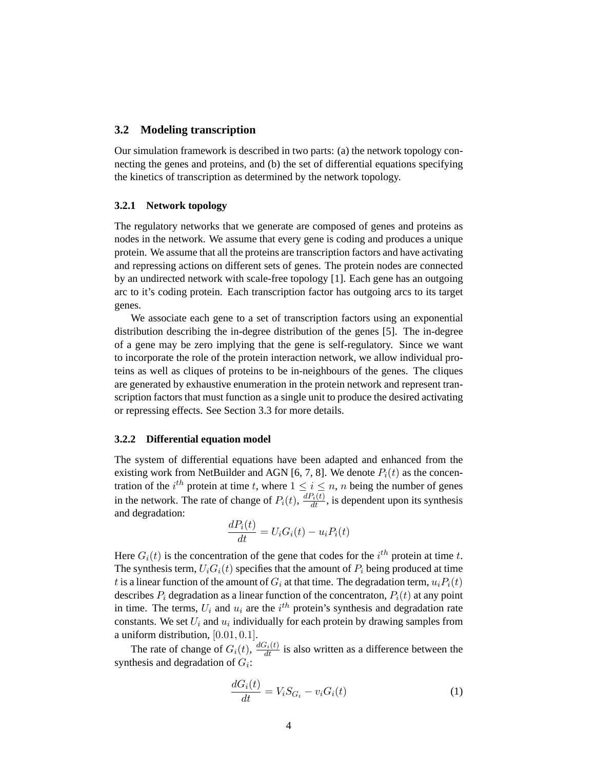#### **3.2 Modeling transcription**

Our simulation framework is described in two parts: (a) the network topology connecting the genes and proteins, and (b) the set of differential equations specifying the kinetics of transcription as determined by the network topology.

#### **3.2.1 Network topology**

The regulatory networks that we generate are composed of genes and proteins as nodes in the network. We assume that every gene is coding and produces a unique protein. We assume that all the proteins are transcription factors and have activating and repressing actions on different sets of genes. The protein nodes are connected by an undirected network with scale-free topology [1]. Each gene has an outgoing arc to it's coding protein. Each transcription factor has outgoing arcs to its target genes.

We associate each gene to a set of transcription factors using an exponential distribution describing the in-degree distribution of the genes [5]. The in-degree of a gene may be zero implying that the gene is self-regulatory. Since we want to incorporate the role of the protein interaction network, we allow individual proteins as well as cliques of proteins to be in-neighbours of the genes. The cliques are generated by exhaustive enumeration in the protein network and represent transcription factors that must function as a single unit to produce the desired activating or repressing effects. See Section 3.3 for more details.

#### **3.2.2 Differential equation model**

The system of differential equations have been adapted and enhanced from the existing work from NetBuilder and AGN [6, 7, 8]. We denote  $P_i(t)$  as the concentration of the *i*<sup>th</sup> protein at time t, where  $1 \le i \le n$ , n being the number of genes in the network. The rate of change of  $P_i(t)$ ,  $\frac{dP_i(t)}{dt}$ , is dependent upon its synthesis and degradation:

$$
\frac{dP_i(t)}{dt} = U_i G_i(t) - u_i P_i(t)
$$

Here  $G_i(t)$  is the concentration of the gene that codes for the  $i^{th}$  protein at time t. The synthesis term,  $U_iG_i(t)$  specifies that the amount of  $P_i$  being produced at time t is a linear function of the amount of  $G_i$  at that time. The degradation term,  $u_iP_i(t)$ describes  $P_i$  degradation as a linear function of the concentraton,  $P_i(t)$  at any point in time. The terms,  $U_i$  and  $u_i$  are the  $i^{th}$  protein's synthesis and degradation rate constants. We set  $U_i$  and  $u_i$  individually for each protein by drawing samples from a uniform distribution, [0.01, 0.1].

The rate of change of  $G_i(t)$ ,  $\frac{dG_i(t)}{dt}$  is also written as a difference between the synthesis and degradation of  $G_i$ :

$$
\frac{dG_i(t)}{dt} = V_i S_{G_i} - v_i G_i(t) \tag{1}
$$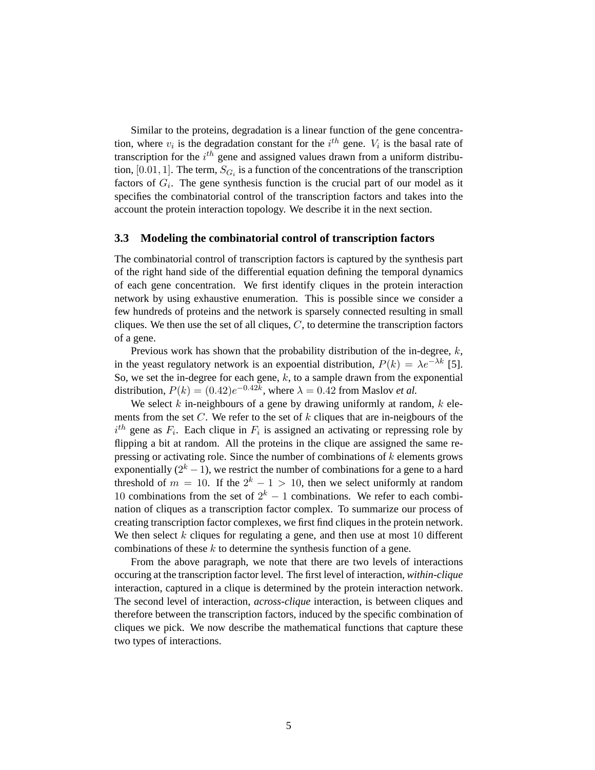Similar to the proteins, degradation is a linear function of the gene concentration, where  $v_i$  is the degradation constant for the  $i^{th}$  gene.  $V_i$  is the basal rate of transcription for the  $i^{th}$  gene and assigned values drawn from a uniform distribution, [0.01, 1]. The term,  $S_{G_i}$  is a function of the concentrations of the transcription factors of  $G_i$ . The gene synthesis function is the crucial part of our model as it specifies the combinatorial control of the transcription factors and takes into the account the protein interaction topology. We describe it in the next section.

#### **3.3 Modeling the combinatorial control of transcription factors**

The combinatorial control of transcription factors is captured by the synthesis part of the right hand side of the differential equation defining the temporal dynamics of each gene concentration. We first identify cliques in the protein interaction network by using exhaustive enumeration. This is possible since we consider a few hundreds of proteins and the network is sparsely connected resulting in small cliques. We then use the set of all cliques,  $C$ , to determine the transcription factors of a gene.

Previous work has shown that the probability distribution of the in-degree,  $k$ , in the yeast regulatory network is an expoential distribution,  $P(k) = \lambda e^{-\lambda k}$  [5]. So, we set the in-degree for each gene,  $k$ , to a sample drawn from the exponential distribution,  $P(k) = (0.42)e^{-0.42k}$ , where  $\lambda = 0.42$  from Maslov *et al.* 

We select  $k$  in-neighbours of a gene by drawing uniformly at random,  $k$  elements from the set  $C$ . We refer to the set of  $k$  cliques that are in-neigbours of the  $i<sup>th</sup>$  gene as  $F_i$ . Each clique in  $F_i$  is assigned an activating or repressing role by flipping a bit at random. All the proteins in the clique are assigned the same repressing or activating role. Since the number of combinations of  $k$  elements grows exponentially  $(2<sup>k</sup> - 1)$ , we restrict the number of combinations for a gene to a hard threshold of  $m = 10$ . If the  $2<sup>k</sup> - 1 > 10$ , then we select uniformly at random 10 combinations from the set of  $2^k - 1$  combinations. We refer to each combination of cliques as a transcription factor complex. To summarize our process of creating transcription factor complexes, we first find cliques in the protein network. We then select  $k$  cliques for regulating a gene, and then use at most 10 different combinations of these  $k$  to determine the synthesis function of a gene.

From the above paragraph, we note that there are two levels of interactions occuring at the transcription factor level. The first level of interaction, *within-clique* interaction, captured in a clique is determined by the protein interaction network. The second level of interaction, *across-clique* interaction, is between cliques and therefore between the transcription factors, induced by the specific combination of cliques we pick. We now describe the mathematical functions that capture these two types of interactions.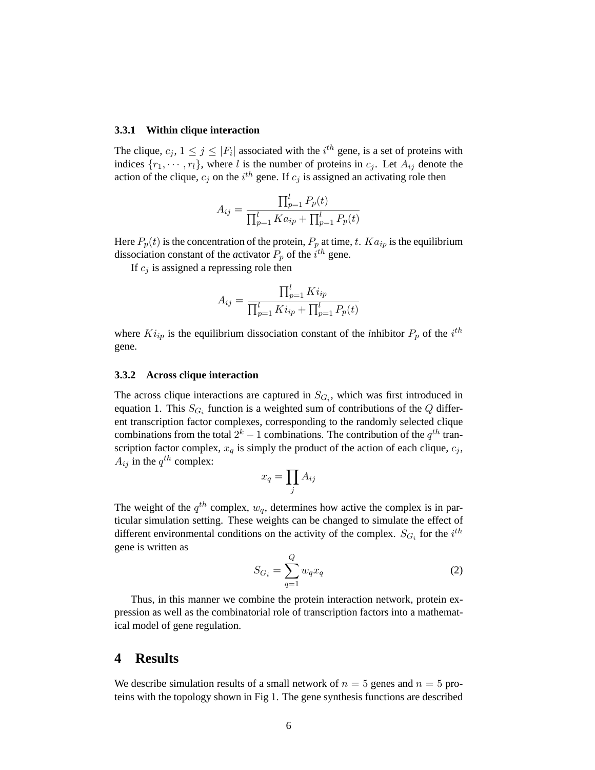#### **3.3.1 Within clique interaction**

The clique,  $c_j$ ,  $1 \leq j \leq |F_i|$  associated with the  $i^{th}$  gene, is a set of proteins with indices  $\{r_1, \dots, r_l\}$ , where l is the number of proteins in  $c_j$ . Let  $A_{ij}$  denote the action of the clique,  $c_j$  on the  $i^{th}$  gene. If  $c_j$  is assigned an activating role then

$$
A_{ij} = \frac{\prod_{p=1}^{l} P_p(t)}{\prod_{p=1}^{l} Ka_{ip} + \prod_{p=1}^{l} P_p(t)}
$$

Here  $P_p(t)$  is the concentration of the protein,  $P_p$  at time, t.  $Ka_{ip}$  is the equilibrium dissociation constant of the *a*ctivator  $P_p$  of the  $i^{th}$  gene.

If  $c_i$  is assigned a repressing role then

$$
A_{ij} = \frac{\prod_{p=1}^{l} Ki_{ip}}{\prod_{p=1}^{l} Ki_{ip} + \prod_{p=1}^{l} P_p(t)}
$$

where  $Ki_{ip}$  is the equilibrium dissociation constant of the *i*nhibitor  $P_p$  of the *i*<sup>th</sup> gene.

#### **3.3.2 Across clique interaction**

The across clique interactions are captured in  $S_{G_i}$ , which was first introduced in equation 1. This  $S_{G_i}$  function is a weighted sum of contributions of the Q different transcription factor complexes, corresponding to the randomly selected clique combinations from the total  $2^k - 1$  combinations. The contribution of the  $q^{th}$  transcription factor complex,  $x_q$  is simply the product of the action of each clique,  $c_j$ ,  $A_{ij}$  in the  $q^{th}$  complex:  $\overline{y}$ 

$$
x_q = \prod_j A_{ij}
$$

The weight of the  $q^{th}$  complex,  $w_q$ , determines how active the complex is in particular simulation setting. These weights can be changed to simulate the effect of different environmental conditions on the activity of the complex.  $S_{G_i}$  for the  $i^{th}$ gene is written as

$$
S_{G_i} = \sum_{q=1}^{Q} w_q x_q \tag{2}
$$

Thus, in this manner we combine the protein interaction network, protein expression as well as the combinatorial role of transcription factors into a mathematical model of gene regulation.

### **4 Results**

We describe simulation results of a small network of  $n = 5$  genes and  $n = 5$  proteins with the topology shown in Fig 1. The gene synthesis functions are described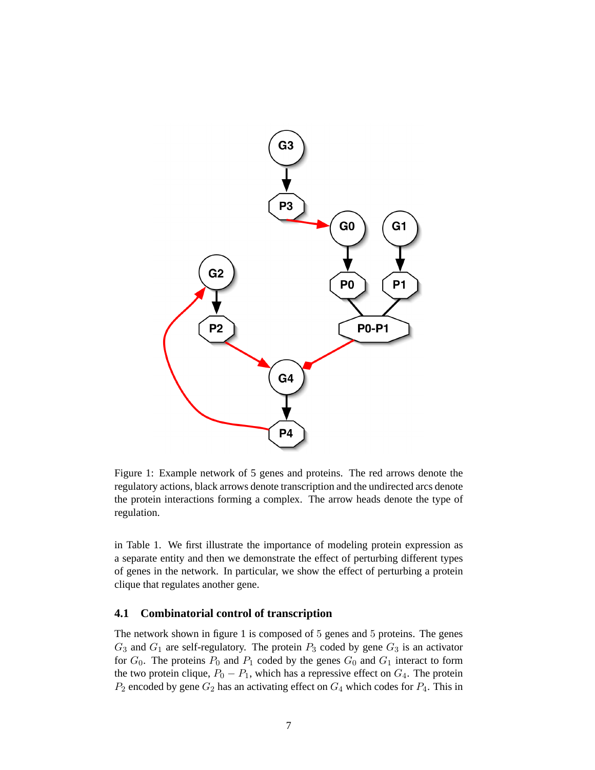

Figure 1: Example network of 5 genes and proteins. The red arrows denote the regulatory actions, black arrows denote transcription and the undirected arcs denote the protein interactions forming a complex. The arrow heads denote the type of regulation.

in Table 1. We first illustrate the importance of modeling protein expression as a separate entity and then we demonstrate the effect of perturbing different types of genes in the network. In particular, we show the effect of perturbing a protein clique that regulates another gene.

### **4.1 Combinatorial control of transcription**

The network shown in figure 1 is composed of 5 genes and 5 proteins. The genes  $G_3$  and  $G_1$  are self-regulatory. The protein  $P_3$  coded by gene  $G_3$  is an activator for  $G_0$ . The proteins  $P_0$  and  $P_1$  coded by the genes  $G_0$  and  $G_1$  interact to form the two protein clique,  $P_0 - P_1$ , which has a repressive effect on  $G_4$ . The protein  $P_2$  encoded by gene  $G_2$  has an activating effect on  $G_4$  which codes for  $P_4$ . This in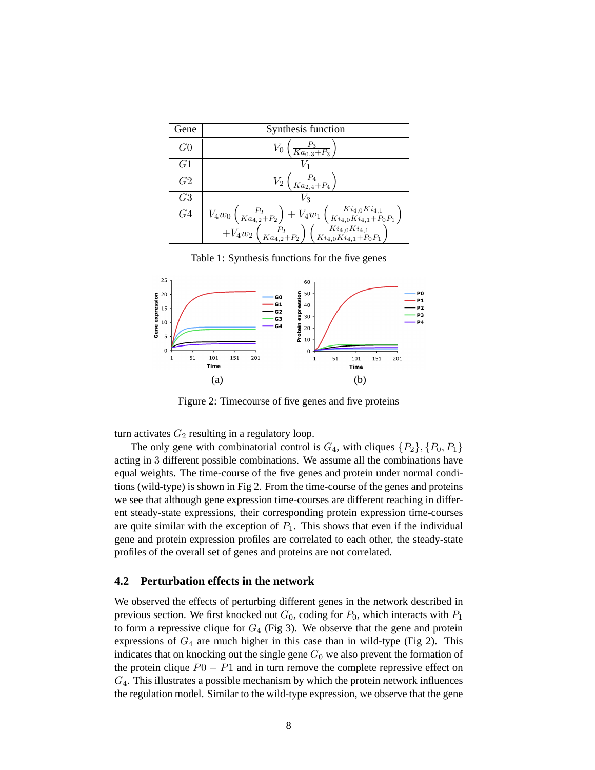| Gene           | Synthesis function                                                                                                                                                                                                                                                    |
|----------------|-----------------------------------------------------------------------------------------------------------------------------------------------------------------------------------------------------------------------------------------------------------------------|
| G <sub>0</sub> | $\frac{P_3}{Ka_{0,3}+P_3}$                                                                                                                                                                                                                                            |
| G1             |                                                                                                                                                                                                                                                                       |
| G2             | $\scriptstyle{V_2}$<br>$\frac{r_4}{Ka_{2,4}+P_4}$                                                                                                                                                                                                                     |
| G <sub>3</sub> | $V_{3}$                                                                                                                                                                                                                                                               |
| G <sub>4</sub> | $\begin{array}{c} V_4w_0\left(\frac{P_2}{Ka_{4,2}+P_2}\right) + V_4w_1\left(\frac{Ki_{4,0}Ki_{4,1}}{Ki_{4,0}Ki_{4,1}+P_0P_1}\right) \\ \qquad + V_4w_2\left(\frac{P_2}{Ka_{4,2}+P_2}\right)\left(\frac{Ki_{4,0}Ki_{4,1}}{Ki_{4,0}Ki_{4,1}+P_0P_1}\right) \end{array}$ |
|                |                                                                                                                                                                                                                                                                       |

Table 1: Synthesis functions for the five genes



Figure 2: Timecourse of five genes and five proteins

turn activates  $G_2$  resulting in a regulatory loop.

The only gene with combinatorial control is  $G_4$ , with cliques  $\{P_2\}, \{P_0, P_1\}$ acting in 3 different possible combinations. We assume all the combinations have equal weights. The time-course of the five genes and protein under normal conditions (wild-type) is shown in Fig 2. From the time-course of the genes and proteins we see that although gene expression time-courses are different reaching in different steady-state expressions, their corresponding protein expression time-courses are quite similar with the exception of  $P_1$ . This shows that even if the individual gene and protein expression profiles are correlated to each other, the steady-state profiles of the overall set of genes and proteins are not correlated.

#### **4.2 Perturbation effects in the network**

We observed the effects of perturbing different genes in the network described in previous section. We first knocked out  $G_0$ , coding for  $P_0$ , which interacts with  $P_1$ to form a repressive clique for  $G_4$  (Fig 3). We observe that the gene and protein expressions of  $G_4$  are much higher in this case than in wild-type (Fig 2). This indicates that on knocking out the single gene  $G_0$  we also prevent the formation of the protein clique  $P0 - P1$  and in turn remove the complete repressive effect on  $G_4$ . This illustrates a possible mechanism by which the protein network influences the regulation model. Similar to the wild-type expression, we observe that the gene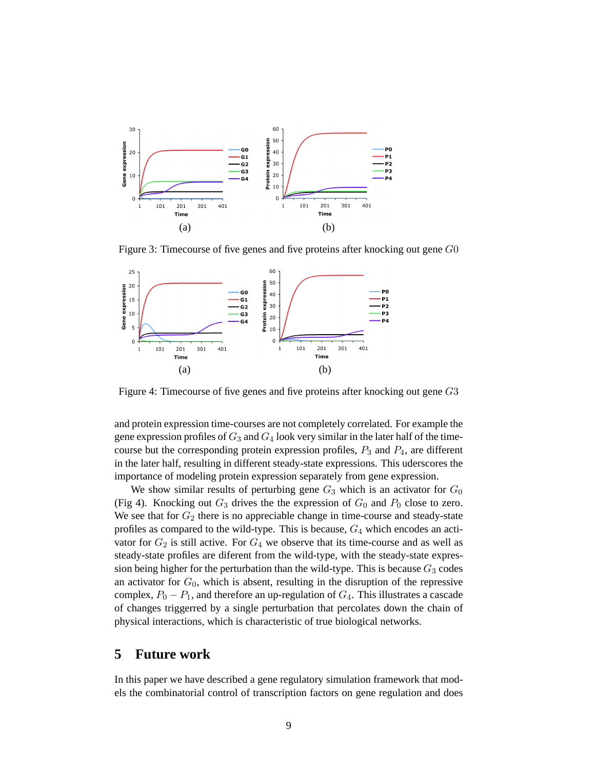

Figure 3: Timecourse of five genes and five proteins after knocking out gene G0



Figure 4: Timecourse of five genes and five proteins after knocking out gene G3

and protein expression time-courses are not completely correlated. For example the gene expression profiles of  $G_3$  and  $G_4$  look very similar in the later half of the timecourse but the corresponding protein expression profiles,  $P_3$  and  $P_4$ , are different in the later half, resulting in different steady-state expressions. This uderscores the importance of modeling protein expression separately from gene expression.

We show similar results of perturbing gene  $G_3$  which is an activator for  $G_0$ (Fig 4). Knocking out  $G_3$  drives the the expression of  $G_0$  and  $P_0$  close to zero. We see that for  $G_2$  there is no appreciable change in time-course and steady-state profiles as compared to the wild-type. This is because,  $G_4$  which encodes an activator for  $G_2$  is still active. For  $G_4$  we observe that its time-course and as well as steady-state profiles are diferent from the wild-type, with the steady-state expression being higher for the perturbation than the wild-type. This is because  $G_3$  codes an activator for  $G_0$ , which is absent, resulting in the disruption of the repressive complex,  $P_0 - P_1$ , and therefore an up-regulation of  $G_4$ . This illustrates a cascade of changes triggerred by a single perturbation that percolates down the chain of physical interactions, which is characteristic of true biological networks.

# **5 Future work**

In this paper we have described a gene regulatory simulation framework that models the combinatorial control of transcription factors on gene regulation and does